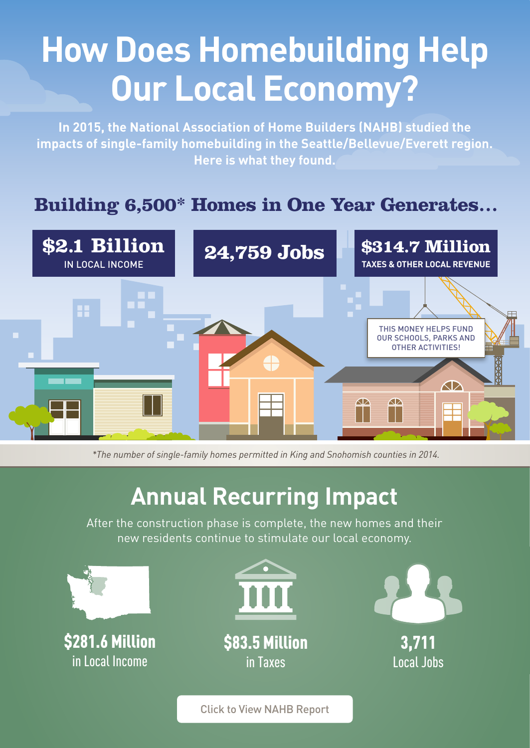## **How Does Homebuilding Help Our Local Economy?**

**In 2015, the National Association of Home Builders (NAHB) studied the impacts of single-family homebuilding in the Seattle/Bellevue/Everett region. Here is what they found.**

## **Building 6,500\* Homes in One Year Generates…**



 *\*The number of single-family homes permitted in King and Snohomish counties in 2014.*

## **Annual Recurring Impact**

After the construction phase is complete, the new homes and their new residents continue to stimulate our local economy.



Click to View NAHB Report